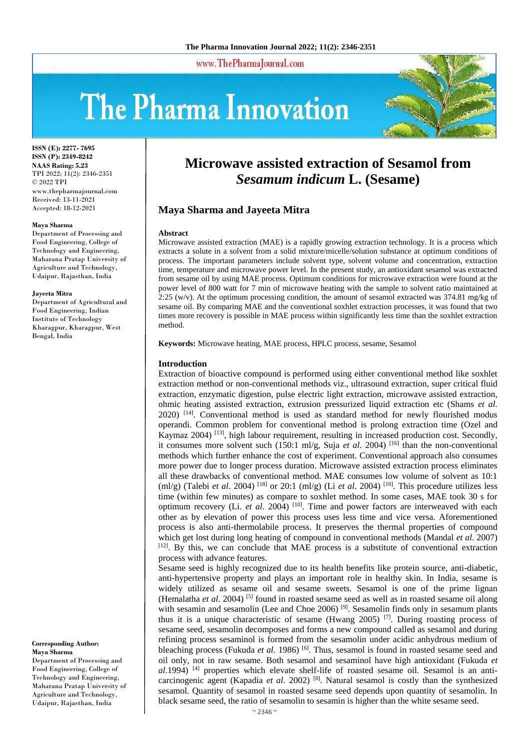www.ThePharmaJournal.com

# **The Pharma Innovation**



**ISSN (E): 2277- 7695 ISSN (P): 2349-8242 NAAS Rating: 5.23** TPI 2022; 11(2): 2346-2351 © 2022 TPI www.thepharmajournal.com Received: 13-11-2021 Accepted: 18-12-2021

#### **Maya Sharma**

Department of Processing and Food Engineering, College of Technology and Engineering, Maharana Pratap University of Agriculture and Technology, Udaipur, Rajasthan, India

#### **Jayeeta Mitra**

Department of Agricultural and Food Engineering, Indian Institute of Technology Kharagpur, Kharagpur, West Bengal, India

**Corresponding Author: Maya Sharma** Department of Processing and Food Engineering, College of Technology and Engineering, Maharana Pratap University of Agriculture and Technology, Udaipur, Rajasthan, India

# **Microwave assisted extraction of Sesamol from**  *Sesamum indicum* **L. (Sesame)**

# **Maya Sharma and Jayeeta Mitra**

#### **Abstract**

Microwave assisted extraction (MAE) is a rapidly growing extraction technology. It is a process which extracts a solute in a solvent from a solid mixture/micelle/solution substance at optimum conditions of process. The important parameters include solvent type, solvent volume and concentration, extraction time, temperature and microwave power level. In the present study, an antioxidant sesamol was extracted from sesame oil by using MAE process. Optimum conditions for microwave extraction were found at the power level of 800 watt for 7 min of microwave heating with the sample to solvent ratio maintained at 2:25 (w/v). At the optimum processing condition, the amount of sesamol extracted was 374.81 mg/kg of sesame oil. By comparing MAE and the conventional soxhlet extraction processes, it was found that two times more recovery is possible in MAE process within significantly less time than the soxhlet extraction method.

**Keywords:** Microwave heating, MAE process, HPLC process, sesame, Sesamol

#### **Introduction**

Extraction of bioactive compound is performed using either conventional method like soxhlet extraction method or non-conventional methods viz., ultrasound extraction, super critical fluid extraction, enzymatic digestion, pulse electric light extraction, microwave assisted extraction, ohmic heating assisted extraction, extrusion pressurized liquid extraction etc (Shams *et al*.  $2020$ )  $^{[14]}$ . Conventional method is used as standard method for newly flourished modus operandi. Common problem for conventional method is prolong extraction time (Ozel and Kaymaz 2004)<sup>[13]</sup>, high labour requirement, resulting in increased production cost. Secondly, it consumes more solvent such (150:1 ml/g, Suja *et al*. 2004) [16] than the non-conventional methods which further enhance the cost of experiment. Conventional approach also consumes more power due to longer process duration. Microwave assisted extraction process eliminates all these drawbacks of conventional method. MAE consumes low volume of solvent as 10:1 (ml/g) (Talebi *et al.* 2004) <sup>[18]</sup> or 20:1 (ml/g) (Li *et al.* 2004) <sup>[10]</sup>. This procedure utilizes less time (within few minutes) as compare to soxhlet method. In some cases, MAE took 30 s for optimum recovery (Li. *et al*. 2004) [10]. Time and power factors are interweaved with each other as by elevation of power this process uses less time and vice versa. Aforementioned process is also anti-thermolabile process. It preserves the thermal properties of compound which get lost during long heating of compound in conventional methods (Mandal *et al*. 2007) [12]. By this, we can conclude that MAE process is a substitute of conventional extraction process with advance features.

Sesame seed is highly recognized due to its health benefits like protein source, anti-diabetic, anti-hypertensive property and plays an important role in healthy skin. In India, sesame is widely utilized as sesame oil and sesame sweets. Sesamol is one of the prime lignan (Hemalatha *et al*. 2004) [5] found in roasted sesame seed as well as in roasted sesame oil along with sesamin and sesamolin (Lee and Choe 2006) <sup>[9]</sup>. Sesamolin finds only in sesamum plants thus it is a unique characteristic of sesame (Hwang 2005) <sup>[7]</sup>. During roasting process of sesame seed, sesamolin decomposes and forms a new compound called as sesamol and during refining process sesaminol is formed from the sesamolin under acidic anhydrous medium of bleaching process (Fukuda *et al.* 1986) <sup>[6]</sup>. Thus, sesamol is found in roasted sesame seed and oil only, not in raw sesame. Both sesamol and sesaminol have high antioxidant (Fukuda *et al*.1994)<sup>[4]</sup> properties which elevate shelf-life of roasted sesame oil. Sesamol is an anticarcinogenic agent (Kapadia *et al.* 2002)<sup>[8]</sup>. Natural sesamol is costly than the synthesized sesamol. Quantity of sesamol in roasted sesame seed depends upon quantity of sesamolin. In black sesame seed, the ratio of sesamolin to sesamin is higher than the white sesame seed.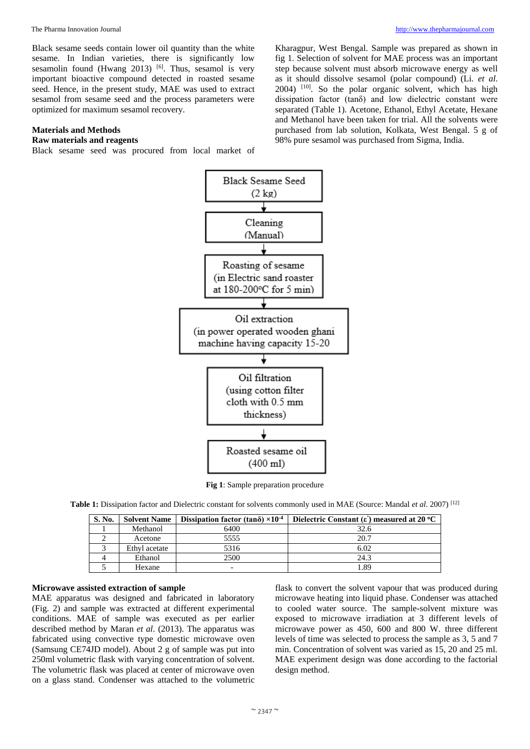Black sesame seeds contain lower oil quantity than the white sesame. In Indian varieties, there is significantly low sesamolin found (Hwang 2013)  $[6]$ . Thus, sesamol is very important bioactive compound detected in roasted sesame seed. Hence, in the present study, MAE was used to extract sesamol from sesame seed and the process parameters were optimized for maximum sesamol recovery.

# **Materials and Methods**

# **Raw materials and reagents**

Black sesame seed was procured from local market of

Kharagpur, West Bengal. Sample was prepared as shown in fig 1. Selection of solvent for MAE process was an important step because solvent must absorb microwave energy as well as it should dissolve sesamol (polar compound) (Li. *et al*.  $2004$ )  $[10]$ . So the polar organic solvent, which has high dissipation factor (tanδ) and low dielectric constant were separated (Table 1). Acetone, Ethanol, Ethyl Acetate, Hexane and Methanol have been taken for trial. All the solvents were purchased from lab solution, Kolkata, West Bengal. 5 g of 98% pure sesamol was purchased from Sigma, India.



**Fig 1**: Sample preparation procedure

**Table 1:** Dissipation factor and Dielectric constant for solvents commonly used in MAE (Source: Mandal *et al*. 2007) [12]

| S. No. | <b>Solvent Name</b> | Dissipation factor (tand) $\times 10^{-4}$ | Dielectric Constant $(\epsilon)$ measured at 20 °C |
|--------|---------------------|--------------------------------------------|----------------------------------------------------|
|        | Methanol            | 6400                                       | 32.6                                               |
|        | Acetone             | 5555                                       | 20.7                                               |
|        | Ethyl acetate       | 5316                                       | 6.02                                               |
|        | Ethanol             | 2500                                       | 24.3                                               |
|        | Hexane              | $\overline{\phantom{0}}$                   | -.89                                               |

# **Microwave assisted extraction of sample**

MAE apparatus was designed and fabricated in laboratory (Fig. 2) and sample was extracted at different experimental conditions. MAE of sample was executed as per earlier described method by Maran *et al*. (2013). The apparatus was fabricated using convective type domestic microwave oven (Samsung CE74JD model). About 2 g of sample was put into 250ml volumetric flask with varying concentration of solvent. The volumetric flask was placed at center of microwave oven on a glass stand. Condenser was attached to the volumetric

flask to convert the solvent vapour that was produced during microwave heating into liquid phase. Condenser was attached to cooled water source. The sample-solvent mixture was exposed to microwave irradiation at 3 different levels of microwave power as 450, 600 and 800 W. three different levels of time was selected to process the sample as 3, 5 and 7 min. Concentration of solvent was varied as 15, 20 and 25 ml. MAE experiment design was done according to the factorial design method.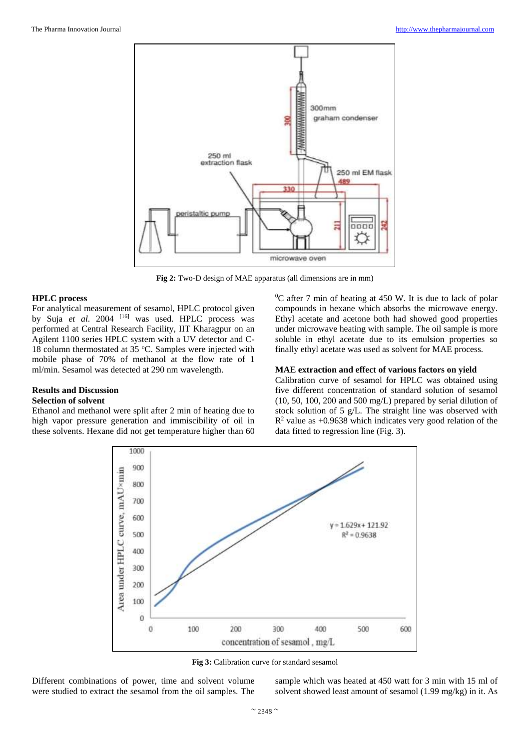

**Fig 2:** Two-D design of MAE apparatus (all dimensions are in mm)

#### **HPLC process**

For analytical measurement of sesamol, HPLC protocol given by Suja et al. 2004 <sup>[16]</sup> was used. HPLC process was performed at Central Research Facility, IIT Kharagpur on an Agilent 1100 series HPLC system with a UV detector and C-18 column thermostated at 35  $\degree$ C. Samples were injected with mobile phase of 70% of methanol at the flow rate of 1 ml/min. Sesamol was detected at 290 nm wavelength.

# **Results and Discussion Selection of solvent**

Ethanol and methanol were split after 2 min of heating due to high vapor pressure generation and immiscibility of oil in these solvents. Hexane did not get temperature higher than 60  $\rm{^{0}C}$  after 7 min of heating at 450 W. It is due to lack of polar compounds in hexane which absorbs the microwave energy. Ethyl acetate and acetone both had showed good properties under microwave heating with sample. The oil sample is more soluble in ethyl acetate due to its emulsion properties so finally ethyl acetate was used as solvent for MAE process.

## **MAE extraction and effect of various factors on yield**

Calibration curve of sesamol for HPLC was obtained using five different concentration of standard solution of sesamol (10, 50, 100, 200 and 500 mg/L) prepared by serial dilution of stock solution of 5 g/L. The straight line was observed with R <sup>2</sup> value as +0.9638 which indicates very good relation of the data fitted to regression line (Fig. 3).



**Fig 3:** Calibration curve for standard sesamol

Different combinations of power, time and solvent volume were studied to extract the sesamol from the oil samples. The

sample which was heated at 450 watt for 3 min with 15 ml of solvent showed least amount of sesamol (1.99 mg/kg) in it. As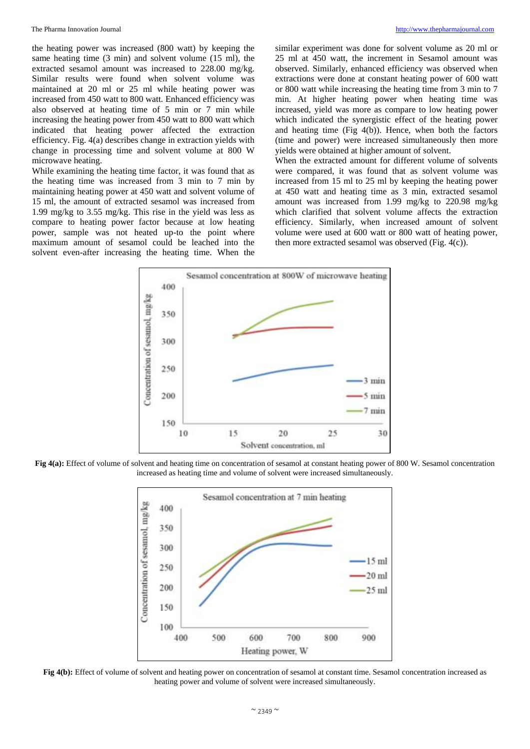the heating power was increased (800 watt) by keeping the same heating time (3 min) and solvent volume (15 ml), the extracted sesamol amount was increased to 228.00 mg/kg. Similar results were found when solvent volume was maintained at 20 ml or 25 ml while heating power was increased from 450 watt to 800 watt. Enhanced efficiency was also observed at heating time of 5 min or 7 min while increasing the heating power from 450 watt to 800 watt which indicated that heating power affected the extraction efficiency. Fig. 4(a) describes change in extraction yields with change in processing time and solvent volume at 800 W microwave heating.

While examining the heating time factor, it was found that as the heating time was increased from 3 min to 7 min by maintaining heating power at 450 watt and solvent volume of 15 ml, the amount of extracted sesamol was increased from 1.99 mg/kg to 3.55 mg/kg. This rise in the yield was less as compare to heating power factor because at low heating power, sample was not heated up-to the point where maximum amount of sesamol could be leached into the solvent even-after increasing the heating time. When the

similar experiment was done for solvent volume as 20 ml or 25 ml at 450 watt, the increment in Sesamol amount was observed. Similarly, enhanced efficiency was observed when extractions were done at constant heating power of 600 watt or 800 watt while increasing the heating time from 3 min to 7 min. At higher heating power when heating time was increased, yield was more as compare to low heating power which indicated the synergistic effect of the heating power and heating time (Fig 4(b)). Hence, when both the factors (time and power) were increased simultaneously then more yields were obtained at higher amount of solvent.

When the extracted amount for different volume of solvents were compared, it was found that as solvent volume was increased from 15 ml to 25 ml by keeping the heating power at 450 watt and heating time as 3 min, extracted sesamol amount was increased from 1.99 mg/kg to 220.98 mg/kg which clarified that solvent volume affects the extraction efficiency. Similarly, when increased amount of solvent volume were used at 600 watt or 800 watt of heating power, then more extracted sesamol was observed (Fig. 4(c)).



**Fig 4(a):** Effect of volume of solvent and heating time on concentration of sesamol at constant heating power of 800 W. Sesamol concentration increased as heating time and volume of solvent were increased simultaneously.



**Fig 4(b):** Effect of volume of solvent and heating power on concentration of sesamol at constant time. Sesamol concentration increased as heating power and volume of solvent were increased simultaneously.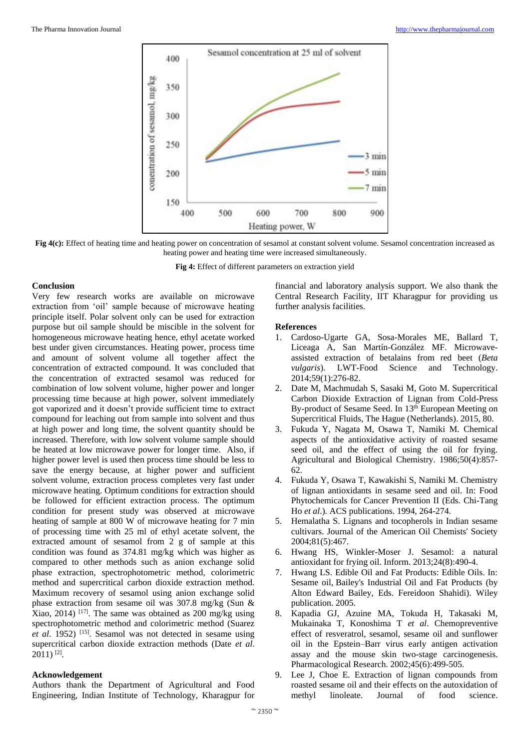

**Fig 4(c):** Effect of heating time and heating power on concentration of sesamol at constant solvent volume. Sesamol concentration increased as heating power and heating time were increased simultaneously.

**Fig 4:** Effect of different parameters on extraction yield

## **Conclusion**

Very few research works are available on microwave extraction from 'oil' sample because of microwave heating principle itself. Polar solvent only can be used for extraction purpose but oil sample should be miscible in the solvent for homogeneous microwave heating hence, ethyl acetate worked best under given circumstances. Heating power, process time and amount of solvent volume all together affect the concentration of extracted compound. It was concluded that the concentration of extracted sesamol was reduced for combination of low solvent volume, higher power and longer processing time because at high power, solvent immediately got vaporized and it doesn't provide sufficient time to extract compound for leaching out from sample into solvent and thus at high power and long time, the solvent quantity should be increased. Therefore, with low solvent volume sample should be heated at low microwave power for longer time. Also, if higher power level is used then process time should be less to save the energy because, at higher power and sufficient solvent volume, extraction process completes very fast under microwave heating. Optimum conditions for extraction should be followed for efficient extraction process. The optimum condition for present study was observed at microwave heating of sample at 800 W of microwave heating for 7 min of processing time with 25 ml of ethyl acetate solvent, the extracted amount of sesamol from 2 g of sample at this condition was found as 374.81 mg/kg which was higher as compared to other methods such as anion exchange solid phase extraction, spectrophotometric method, colorimetric method and supercritical carbon dioxide extraction method. Maximum recovery of sesamol using anion exchange solid phase extraction from sesame oil was 307.8 mg/kg (Sun & Xiao, 2014) <sup>[17]</sup>. The same was obtained as  $200 \text{ mg/kg}$  using spectrophotometric method and colorimetric method (Suarez *et al*. 1952) [15]. Sesamol was not detected in sesame using supercritical carbon dioxide extraction methods (Date *et al*.  $2011$ ) <sup>[2]</sup>.

# **Acknowledgement**

Authors thank the Department of Agricultural and Food Engineering, Indian Institute of Technology, Kharagpur for

financial and laboratory analysis support. We also thank the Central Research Facility, IIT Kharagpur for providing us further analysis facilities.

## **References**

- 1. Cardoso-Ugarte GA, Sosa-Morales ME, Ballard T, Liceaga A, San Martín-González MF. Microwaveassisted extraction of betalains from red beet (*Beta vulgaris*). LWT-Food Science and Technology. 2014;59(1):276-82.
- 2. Date M, Machmudah S, Sasaki M, Goto M. Supercritical Carbon Dioxide Extraction of Lignan from Cold-Press By-product of Sesame Seed. In 13<sup>th</sup> European Meeting on Supercritical Fluids, The Hague (Netherlands). 2015, 80.
- 3. Fukuda Y, Nagata M, Osawa T, Namiki M. Chemical aspects of the antioxidative activity of roasted sesame seed oil, and the effect of using the oil for frying. Agricultural and Biological Chemistry. 1986;50(4):857- 62.
- 4. Fukuda Y, Osawa T, Kawakishi S, Namiki M. Chemistry of lignan antioxidants in sesame seed and oil. In: Food Phytochemicals for Cancer Prevention II (Eds. Chi-Tang Ho *et al*.). ACS publications. 1994, 264-274.
- 5. Hemalatha S. Lignans and tocopherols in Indian sesame cultivars. Journal of the American Oil Chemists' Society 2004;81(5):467.
- 6. Hwang HS, Winkler-Moser J. Sesamol: a natural antioxidant for frying oil. Inform. 2013;24(8):490-4.
- 7. Hwang LS. Edible Oil and Fat Products: Edible Oils. In: Sesame oil, Bailey's Industrial Oil and Fat Products (by Alton Edward Bailey, Eds. Fereidoon Shahidi). Wiley publication. 2005.
- 8. Kapadia GJ, Azuine MA, Tokuda H, Takasaki M, Mukainaka T, Konoshima T *et al*. Chemopreventive effect of resveratrol, sesamol, sesame oil and sunflower oil in the Epstein–Barr virus early antigen activation assay and the mouse skin two-stage carcinogenesis. Pharmacological Research. 2002;45(6):499-505.
- 9. Lee J, Choe E. Extraction of lignan compounds from roasted sesame oil and their effects on the autoxidation of methyl linoleate. Journal of food science.